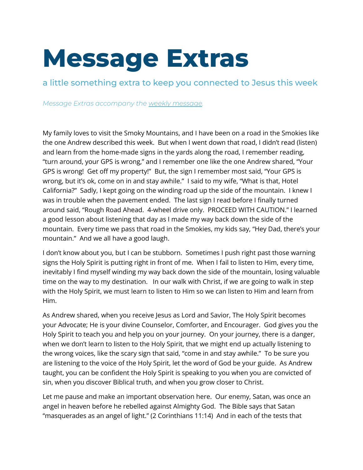## **Message Extras**

a little something extra to keep you connected to Jesus this week

*Message Extras accompany the weekly [message](http://wrcc.org/sermons).*

My family loves to visit the Smoky Mountains, and I have been on a road in the Smokies like the one Andrew described this week. But when I went down that road, I didn't read (listen) and learn from the home-made signs in the yards along the road, I remember reading, "turn around, your GPS is wrong," and I remember one like the one Andrew shared, "Your GPS is wrong! Get off my property!" But, the sign I remember most said, "Your GPS is wrong, but it's ok, come on in and stay awhile." I said to my wife, "What is that, Hotel California?" Sadly, I kept going on the winding road up the side of the mountain. I knew I was in trouble when the pavement ended. The last sign I read before I finally turned around said, "Rough Road Ahead. 4-wheel drive only. PROCEED WITH CAUTION." I learned a good lesson about listening that day as I made my way back down the side of the mountain. Every time we pass that road in the Smokies, my kids say, "Hey Dad, there's your mountain." And we all have a good laugh.

I don't know about you, but I can be stubborn. Sometimes I push right past those warning signs the Holy Spirit is putting right in front of me. When I fail to listen to Him, every time, inevitably I find myself winding my way back down the side of the mountain, losing valuable time on the way to my destination. In our walk with Christ, if we are going to walk in step with the Holy Spirit, we must learn to listen to Him so we can listen to Him and learn from Him.

As Andrew shared, when you receive Jesus as Lord and Savior, The Holy Spirit becomes your Advocate; He is your divine Counselor, Comforter, and Encourager. God gives you the Holy Spirit to teach you and help you on your journey. On your journey, there is a danger, when we don't learn to listen to the Holy Spirit, that we might end up actually listening to the wrong voices, like the scary sign that said, "come in and stay awhile." To be sure you are listening to the voice of the Holy Spirit, let the word of God be your guide. As Andrew taught, you can be confident the Holy Spirit is speaking to you when you are convicted of sin, when you discover Biblical truth, and when you grow closer to Christ.

Let me pause and make an important observation here. Our enemy, Satan, was once an angel in heaven before he rebelled against Almighty God. The Bible says that Satan "masquerades as an angel of light." (2 Corinthians 11:14) And in each of the tests that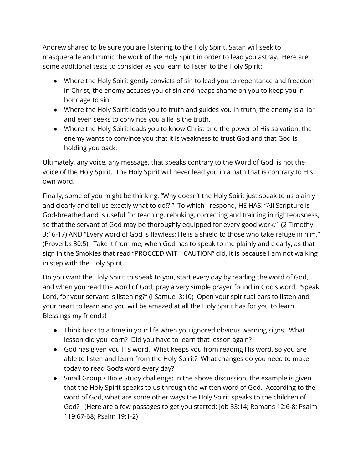Andrew shared to be sure you are listening to the Holy Spirit, Satan will seek to masquerade and mimic the work of the Holy Spirit in order to lead you astray. Here are some additional tests to consider as you learn to listen to the Holy Spirit:

- Where the Holy Spirit gently convicts of sin to lead you to repentance and freedom in Christ, the enemy accuses you of sin and heaps shame on you to keep you in bondage to sin.
- Where the Holy Spirit leads you to truth and guides you in truth, the enemy is a liar and even seeks to convince you a lie is the truth.
- Where the Holy Spirit leads you to know Christ and the power of His salvation, the enemy wants to convince you that it is weakness to trust God and that God is holding you back.

Ultimately, any voice, any message, that speaks contrary to the Word of God, is not the voice of the Holy Spirit. The Holy Spirit will never lead you in a path that is contrary to His own word.

Finally, some of you might be thinking, "Why doesn't the Holy Spirit just speak to us plainly and clearly and tell us exactly what to do!?!" To which I respond, HE HAS! "All Scripture is God-breathed and is useful for teaching, rebuking, correcting and training in righteousness, so that the servant of God may be thoroughly equipped for every good work." (2 Timothy 3:16-17) AND "Every word of God is flawless; He is a shield to those who take refuge in him." (Proverbs 30:5) Take it from me, when God has to speak to me plainly and clearly, as that sign in the Smokies that read "PROCCED WITH CAUTION" did, it is because I am not walking in step with the Holy Spirit.

Do you want the Holy Spirit to speak to you, start every day by reading the word of God, and when you read the word of God, pray a very simple prayer found in God's word, "Speak Lord, for your servant is listening?" (I Samuel 3:10) Open your spiritual ears to listen and your heart to learn and you will be amazed at all the Holy Spirit has for you to learn. Blessings my friends!

- Think back to a time in your life when you ignored obvious warning signs. What lesson did you learn? Did you have to learn that lesson again?
- God has given you His word. What keeps you from reading His word, so you are able to listen and learn from the Holy Spirit? What changes do you need to make today to read God's word every day?
- Small Group / Bible Study challenge: In the above discussion, the example is given that the Holy Spirit speaks to us through the written word of God. According to the word of God, what are some other ways the Holy Spirit speaks to the children of God? (Here are a few passages to get you started: Job 33:14; Romans 12:6-8; Psalm 119:67-68; Psalm 19:1-2)